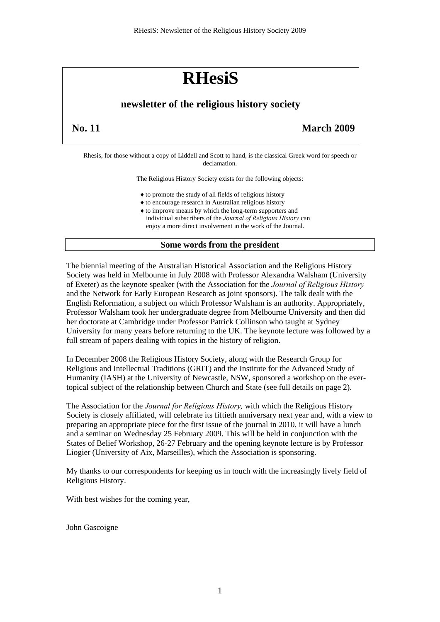# **RHesiS**

# **newsletter of the religious history society**

**No. 11 March 2009** 

Rhesis, for those without a copy of Liddell and Scott to hand, is the classical Greek word for speech or declamation.

The Religious History Society exists for the following objects:

- ♦to promote the study of all fields of religious history
- ♦to encourage research in Australian religious history
- ♦to improve means by which the long-term supporters and individual subscribers of the *Journal of Religious History* can enjoy a more direct involvement in the work of the Journal.

# **Some words from the president**

The biennial meeting of the Australian Historical Association and the Religious History Society was held in Melbourne in July 2008 with Professor Alexandra Walsham (University of Exeter) as the keynote speaker (with the Association for the *Journal of Religious History* and the Network for Early European Research as joint sponsors). The talk dealt with the English Reformation, a subject on which Professor Walsham is an authority. Appropriately, Professor Walsham took her undergraduate degree from Melbourne University and then did her doctorate at Cambridge under Professor Patrick Collinson who taught at Sydney University for many years before returning to the UK. The keynote lecture was followed by a full stream of papers dealing with topics in the history of religion.

In December 2008 the Religious History Society, along with the Research Group for Religious and Intellectual Traditions (GRIT) and the Institute for the Advanced Study of Humanity (IASH) at the University of Newcastle, NSW, sponsored a workshop on the evertopical subject of the relationship between Church and State (see full details on page 2).

The Association for the *Journal for Religious History,* with which the Religious History Society is closely affiliated, will celebrate its fiftieth anniversary next year and, with a view to preparing an appropriate piece for the first issue of the journal in 2010, it will have a lunch and a seminar on Wednesday 25 February 2009. This will be held in conjunction with the States of Belief Workshop, 26-27 February and the opening keynote lecture is by Professor Liogier (University of Aix, Marseilles), which the Association is sponsoring.

My thanks to our correspondents for keeping us in touch with the increasingly lively field of Religious History.

With best wishes for the coming year,

John Gascoigne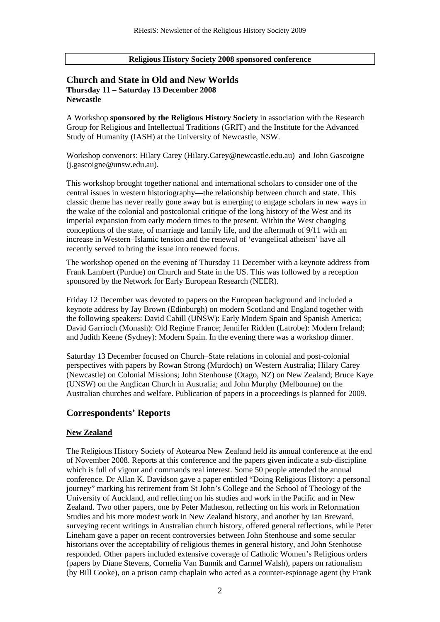#### **Religious History Society 2008 sponsored conference**

# **Church and State in Old and New Worlds Thursday 11 – Saturday 13 December 2008 Newcastle**

A Workshop **sponsored by the Religious History Society** in association with the Research Group for Religious and Intellectual Traditions (GRIT) and the Institute for the Advanced Study of Humanity (IASH) at the University of Newcastle, NSW.

Workshop convenors: Hilary Carey (Hilary.Carey@newcastle.edu.au) and John Gascoigne (j.gascoigne@unsw.edu.au).

This workshop brought together national and international scholars to consider one of the central issues in western historiography—the relationship between church and state. This classic theme has never really gone away but is emerging to engage scholars in new ways in the wake of the colonial and postcolonial critique of the long history of the West and its imperial expansion from early modern times to the present. Within the West changing conceptions of the state, of marriage and family life, and the aftermath of 9/11 with an increase in Western–Islamic tension and the renewal of 'evangelical atheism' have all recently served to bring the issue into renewed focus.

The workshop opened on the evening of Thursday 11 December with a keynote address from Frank Lambert (Purdue) on Church and State in the US. This was followed by a reception sponsored by the Network for Early European Research (NEER).

Friday 12 December was devoted to papers on the European background and included a keynote address by Jay Brown (Edinburgh) on modern Scotland and England together with the following speakers: David Cahill (UNSW): Early Modern Spain and Spanish America; David Garrioch (Monash): Old Regime France; Jennifer Ridden (Latrobe): Modern Ireland; and Judith Keene (Sydney): Modern Spain. In the evening there was a workshop dinner.

Saturday 13 December focused on Church–State relations in colonial and post-colonial perspectives with papers by Rowan Strong (Murdoch) on Western Australia; Hilary Carey (Newcastle) on Colonial Missions; John Stenhouse (Otago, NZ) on New Zealand; Bruce Kaye (UNSW) on the Anglican Church in Australia; and John Murphy (Melbourne) on the Australian churches and welfare. Publication of papers in a proceedings is planned for 2009.

# **Correspondents' Reports**

## **New Zealand**

The Religious History Society of Aotearoa New Zealand held its annual conference at the end of November 2008. Reports at this conference and the papers given indicate a sub-discipline which is full of vigour and commands real interest. Some 50 people attended the annual conference. Dr Allan K. Davidson gave a paper entitled "Doing Religious History: a personal journey" marking his retirement from St John's College and the School of Theology of the University of Auckland, and reflecting on his studies and work in the Pacific and in New Zealand. Two other papers, one by Peter Matheson, reflecting on his work in Reformation Studies and his more modest work in New Zealand history, and another by Ian Breward, surveying recent writings in Australian church history, offered general reflections, while Peter Lineham gave a paper on recent controversies between John Stenhouse and some secular historians over the acceptability of religious themes in general history, and John Stenhouse responded. Other papers included extensive coverage of Catholic Women's Religious orders (papers by Diane Stevens, Cornelia Van Bunnik and Carmel Walsh), papers on rationalism (by Bill Cooke), on a prison camp chaplain who acted as a counter-espionage agent (by Frank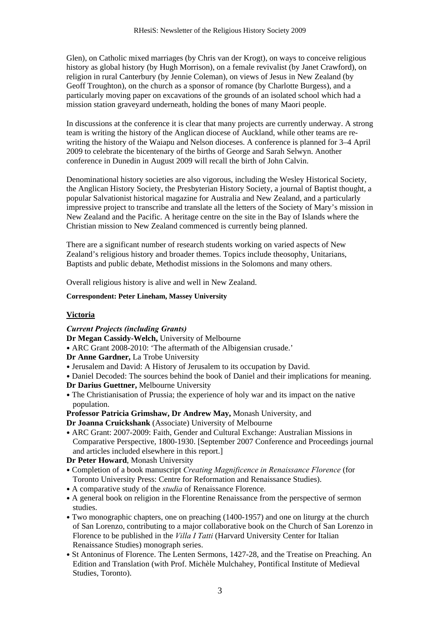Glen), on Catholic mixed marriages (by Chris van der Krogt), on ways to conceive religious history as global history (by Hugh Morrison), on a female revivalist (by Janet Crawford), on religion in rural Canterbury (by Jennie Coleman), on views of Jesus in New Zealand (by Geoff Troughton), on the church as a sponsor of romance (by Charlotte Burgess), and a particularly moving paper on excavations of the grounds of an isolated school which had a mission station graveyard underneath, holding the bones of many Maori people.

In discussions at the conference it is clear that many projects are currently underway. A strong team is writing the history of the Anglican diocese of Auckland, while other teams are rewriting the history of the Waiapu and Nelson dioceses. A conference is planned for 3–4 April 2009 to celebrate the bicentenary of the births of George and Sarah Selwyn. Another conference in Dunedin in August 2009 will recall the birth of John Calvin.

Denominational history societies are also vigorous, including the Wesley Historical Society, the Anglican History Society, the Presbyterian History Society, a journal of Baptist thought, a popular Salvationist historical magazine for Australia and New Zealand, and a particularly impressive project to transcribe and translate all the letters of the Society of Mary's mission in New Zealand and the Pacific. A heritage centre on the site in the Bay of Islands where the Christian mission to New Zealand commenced is currently being planned.

There are a significant number of research students working on varied aspects of New Zealand's religious history and broader themes. Topics include theosophy, Unitarians, Baptists and public debate, Methodist missions in the Solomons and many others.

Overall religious history is alive and well in New Zealand.

**Correspondent: Peter Lineham, Massey University** 

# **Victoria**

*Current Projects (including Grants)* 

**D r Megan Cassidy-Welch,** University of Melbourne

• ARC Grant 2008-2010: 'The aftermath of the Albigensian crusade.'

- **Dr Anne Gardner,** La Trobe University
- Jerusalem and David: A History of Jerusalem to its occupation by David.

Daniel Decoded: The sources behind the book of Daniel and their implications for meaning. •

- **D r Darius Guettner,** Melbourne University
- The Christianisation of Prussia; the experience of holy war and its impact on the native population.

**Professor Patricia Grimshaw, Dr Andrew May,** Monash University, and **Dr Joanna Cruickshank** (Associate) University of Melbourne

• ARC Grant: 2007-2009: Faith, Gender and Cultural Exchange: Australian Missions in Comparative Perspective, 1800-1930. [September 2007 Conference and Proceedings journal and articles included elsewhere in this report.]

**Dr Peter Howard**, Monash University

- Completion of a book manuscript *Creating Magnificence in Renaissance Florence* (for Toronto University Press: Centre for Reformation and Renaissance Studies).
- A comparative study of the *studia* of Renaissance Florence.
- A general book on religion in the Florentine Renaissance from the perspective of sermon studies.
- Two monographic chapters, one on preaching (1400-1957) and one on liturgy at the church of San Lorenzo, contributing to a major collaborative book on the Church of San Lorenzo in Florence to be published in the *Villa I Tatti* (Harvard University Center for Italian Renaissance Studies) monograph series.
- St Antoninus of Florence. The Lenten Sermons, 1427-28, and the Treatise on Preaching. An Edition and Translation (with Prof. Michèle Mulchahey, Pontifical Institute of Medieval Studies, Toronto).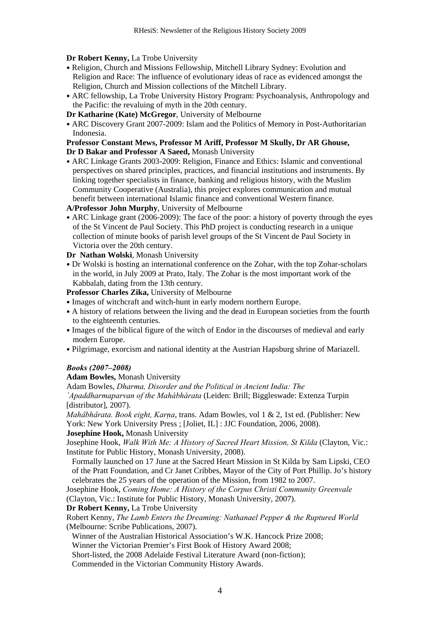## **Dr Robert Kenny,** La Trobe University

- Religion, Church and Missions Fellowship, Mitchell Library Sydney: Evolution and Religion and Race: The influence of evolutionary ideas of race as evidenced amongst the Religion, Church and Mission collections of the Mitchell Library.
- ARC fellowship, La Trobe University History Program: Psychoanalysis, Anthropology and the Pacific: the revaluing of myth in the 20th century.

**Dr Katharine (Kate) McGregor**, University of Melbourne

• ARC Discovery Grant 2007-2009: Islam and the Politics of Memory in Post-Authoritarian Indonesia.

#### **Professor Constant Mews, Professor M Ariff, Professor M Skully, Dr AR Ghouse, Dr D Bakar and Professor A Saeed,** Monash University

• ARC Linkage Grants 2003-2009: Religion, Finance and Ethics: Islamic and conventional perspectives on shared principles, practices, and financial institutions and instruments. By linking together specialists in finance, banking and religious history, with the Muslim Community Cooperative (Australia), this project explores communication and mutual benefit between international Islamic finance and conventional Western finance.

**A/Professor John Murphy**, University of Melbourne

• ARC Linkage grant (2006-2009): The face of the poor: a history of poverty through the eyes of the St Vincent de Paul Society. This PhD project is conducting research in a unique collection of minute books of parish level groups of the St Vincent de Paul Society in Victoria over the 20th century.

**Dr Nathan Wolski**, Monash University

• Dr Wolski is hosting an international conference on the Zohar, with the top Zohar-scholars in the world, in July 2009 at Prato, Italy. The Zohar is the most important work of the Kabbalah, dating from the 13th century.

**Professor Charles Zika,** University of Melbourne

- Images of witchcraft and witch-hunt in early modern northern Europe.
- A history of relations between the living and the dead in European societies from the fourth to the eighteenth centuries.
- Images of the biblical figure of the witch of Endor in the discourses of medieval and early modern Europe.
- Pilgrimage, exorcism and national identity at the Austrian Hapsburg shrine of Mariazell.

## *Books (2007–2008)*

**Adam Bowles,** Monash University

Adam Bowles, *Dharma, Disorder and the Political in Ancient India: The* 

*´Apaddharmaparvan of the Mahábhárata* (Leiden: Brill; Biggleswade: Extenza Turpin [distributor], 2007).

*Mahābhārata. Book eight, Karṇa*, trans. Adam Bowles, vol 1 & 2, 1st ed. (Publisher: New York: New York University Press ; [Joliet, IL] : JJC Foundation, 2006, 2008).

## **Josephine Hook,** Monash University

Josephine Hook, *Walk With Me: A History of Sacred Heart Mission, St Kilda* (Clayton, Vic.: Institute for Public History, Monash University, 2008).

Formally launched on 17 June at the Sacred Heart Mission in St Kilda by Sam Lipski, CEO of the Pratt Foundation, and Cr Janet Cribbes, Mayor of the City of Port Phillip. Jo's history celebrates the 25 years of the operation of the Mission, from 1982 to 2007.

Josephine Hook, *Coming Home: A History of the Corpus Christi Community Greenvale* (Clayton, Vic.: Institute for Public History, Monash University, 2007).

**Dr Robert Kenny,** La Trobe University

Robert Kenny, *The Lamb Enters the Dreaming: Nathanael Pepper & the Ruptured World* (Melbourne: Scribe Publications, 2007).

Winner of the Australian Historical Association's W.K. Hancock Prize 2008;

Winner the Victorian Premier's First Book of History Award 2008;

Short-listed, the 2008 Adelaide Festival Literature Award (non-fiction);

Commended in the Victorian Community History Awards.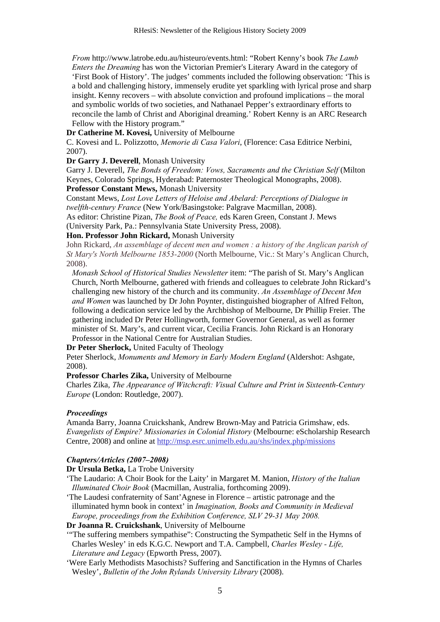*From* http://www.latrobe.edu.au/histeuro/events.html: "Robert Kenny's book *The Lamb Enters the Dreaming* has won the Victorian Premier's Literary Award in the category of 'First Book of History'. The judges' comments included the following observation: 'This is a bold and challenging history, immensely erudite yet sparkling with lyrical prose and sharp insight. Kenny recovers – with absolute conviction and profound implications – the moral and symbolic worlds of two societies, and Nathanael Pepper's extraordinary efforts to reconcile the lamb of Christ and Aboriginal dreaming.' Robert Kenny is an ARC Research Fellow with the History program."

**Dr Catherine M. Kovesi,** University of Melbourne

C. Kovesi and L. Polizzotto, *Memorie di Casa Valori*, (Florence: Casa Editrice Nerbini, 2007).

**Dr Garry J. Deverell**, Monash University

Garry J. Deverell, *The Bonds of Freedom: Vows, Sacraments and the Christian Self* (Milton Keynes, Colorado Springs, Hyderabad: Paternoster Theological Monographs, 2008).

**Professor Constant Mews,** Monash University

Constant Mews, *Lost Love Letters of Heloise and Abelard: Perceptions of Dialogue in twelfth-century France* (New York/Basingstoke: Palgrave Macmillan, 2008).

As editor: Christine Pizan, *The Book of Peace,* eds Karen Green, Constant J. Mews

(University Park, Pa.: Pennsylvania State University Press, 2008).

**Hon. Professor John Rickard,** Monash University

John Rickard, *An assemblage of decent men and women : a history of the Anglican parish of St Mary's North Melbourne 1853-2000* (North Melbourne, Vic.: St Mary's Anglican Church, 2008).

*Monash School of Historical Studies Newsletter* item: "The parish of St. Mary's Anglican Church, North Melbourne, gathered with friends and colleagues to celebrate John Rickard's challenging new history of the church and its community. *An Assemblage of Decent Men and Women* was launched by Dr John Poynter, distinguished biographer of Alfred Felton, following a dedication service led by the Archbishop of Melbourne, Dr Phillip Freier. The gathering included Dr Peter Hollingworth, former Governor General, as well as former minister of St. Mary's, and current vicar, Cecilia Francis. John Rickard is an Honorary Professor in the National Centre for Australian Studies.

**Dr Peter Sherlock,** United Faculty of Theology

Peter Sherlock, *Monuments and Memory in Early Modern England* (Aldershot: Ashgate, 2008).

## **Professor Charles Zika,** University of Melbourne

Charles Zika, *The Appearance of Witchcraft: Visual Culture and Print in Sixteenth-Century Europe* (London: Routledge, 2007).

## *Proceedings*

Amanda Barry, Joanna Cruickshank, Andrew Brown-May and Patricia Grimshaw, eds. *Evangelists of Empire? Missionaries in Colonial History* (Melbourne: eScholarship Research Centre, 2008) and online at <http://msp.esrc.unimelb.edu.au/shs/index.php/missions>

## *Chapters/Articles (2007–2008)*

**Dr Ursula Betka,** La Trobe University

- 'The Laudario: A Choir Book for the Laity' in Margaret M. Manion, *History of the Italian Illuminated Choir Book* (Macmillan, Australia, forthcoming 2009).
- 'The Laudesi confraternity of Sant'Agnese in Florence artistic patronage and the illuminated hymn book in context' in *Imagination, Books and Community in Medieval Europe, proceedings from the Exhibition Conference, SLV 29-31 May 2008.*

**Dr Joanna R. Cruickshank**, University of Melbourne

- '"The suffering members sympathise": Constructing the Sympathetic Self in the Hymns of Charles Wesley' in eds K.G.C. Newport and T.A. Campbell, *Charles Wesley - Life, Literature and Legacy* (Epworth Press, 2007).
- 'Were Early Methodists Masochists? Suffering and Sanctification in the Hymns of Charles Wesley', *Bulletin of the John Rylands University Library* (2008).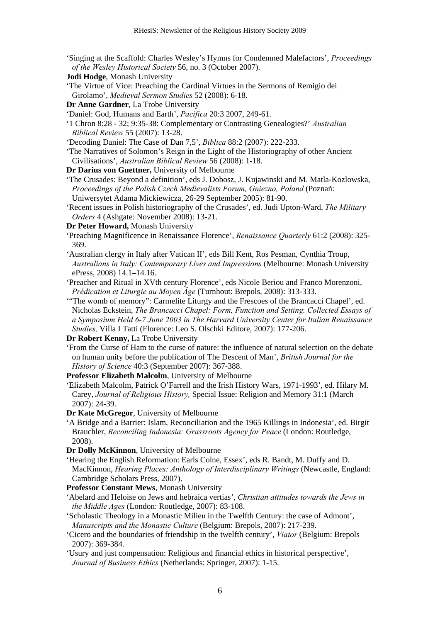- 'Singing at the Scaffold: Charles Wesley's Hymns for Condemned Malefactors', *Proceedings of the Wesley Historical Society* 56, no. 3 (October 2007).
- **Jodi Hodge**, Monash University
- 'The Virtue of Vice: Preaching the Cardinal Virtues in the Sermons of Remigio dei Girolamo', *Medieval Sermon Studies* 52 (2008): 6-18.
- **Dr Anne Gardner**, La Trobe University
- 'Daniel: God, Humans and Earth', *Pacifica* 20:3 2007, 249-61.
- '1 Chron 8:28 32; 9:35-38: Complementary or Contrasting Genealogies?' *Australian Biblical Review* 55 (2007): 13-28.
- 'Decoding Daniel: The Case of Dan 7,5', *Biblica* 88:2 (2007): 222-233.
- 'The Narratives of Solomon's Reign in the Light of the Historiography of other Ancient Civilisations', *Australian Biblical Review* 56 (2008): 1-18.
- **Dr Darius von Guettner,** University of Melbourne
- 'The Crusades: Beyond a definition', eds J. Dobosz, J. Kujawinski and M. Matla-Kozlowska, *Proceedings of the Polish Czech Medievalists Forum, Gniezno, Poland* (Poznañ: Uniwersytet Adama Mickiewicza, 26-29 September 2005): 81-90.
- 'Recent issues in Polish historiography of the Crusades', ed. Judi Upton-Ward, *The Military Orders* 4 (Ashgate: November 2008): 13-21.
- **Dr Peter Howard,** Monash University
- 'Preaching Magnificence in Renaissance Florence', *Renaissance Quarterly* 61:2 (2008): 325- 369.
- 'Australian clergy in Italy after Vatican II', eds Bill Kent, Ros Pesman, Cynthia Troup, *Australians in Italy: Contemporary Lives and Impressions* (Melbourne: Monash University ePress, 2008) 14.1–14.16.
- 'Preacher and Ritual in XVth century Florence', eds Nicole Beriou and Franco Morenzoni, *Prédication et Liturgie au Moyen Âge* (Turnhout: Brepols, 2008): 313-333.
- '"The womb of memory": Carmelite Liturgy and the Frescoes of the Brancacci Chapel', ed. Nicholas Eckstein, *The Brancacci Chapel: Form, Function and Setting. Collected Essays of a Symposium Held 6-7 June 2003 in The Harvard University Center for Italian Renaissance Studies,* Villa I Tatti (Florence: Leo S. Olschki Editore, 2007): 177-206.

**Dr Robert Kenny,** La Trobe University

- 'From the Curse of Ham to the curse of nature: the influence of natural selection on the debate on human unity before the publication of The Descent of Man', *British Journal for the History of Science* 40:3 (September 2007): 367-388.
- **Professor Elizabeth Malcolm**, University of Melbourne
- 'Elizabeth Malcolm, Patrick O'Farrell and the Irish History Wars, 1971-1993', ed. Hilary M. Carey, *Journal of Religious History,* Special Issue: Religion and Memory 31:1 (March 2007): 24-39.
- **Dr Kate McGregor**, University of Melbourne
- 'A Bridge and a Barrier: Islam, Reconciliation and the 1965 Killings in Indonesia', ed. Birgit Brauchler, *Reconciling Indonesia: Grassroots Agency for Peace* (London: Routledge, 2008).
- **Dr Dolly McKinnon**, University of Melbourne
- 'Hearing the English Reformation: Earls Colne, Essex', eds R. Bandt, M. Duffy and D. MacKinnon, *Hearing Places: Anthology of Interdisciplinary Writings* (Newcastle, England: Cambridge Scholars Press, 2007).
- **Professor Constant Mews**, Monash University
- 'Abelard and Heloise on Jews and hebraica vertias', *Christian attitudes towards the Jews in the Middle Ages* (London: Routledge, 2007): 83-108.
- 'Scholastic Theology in a Monastic Milieu in the Twelfth Century: the case of Admont', *Manuscripts and the Monastic Culture* (Belgium: Brepols, 2007): 217-239.
- 'Cicero and the boundaries of friendship in the twelfth century', *Viator* (Belgium: Brepols 2007): 369-384.
- 'Usury and just compensation: Religious and financial ethics in historical perspective', *Journal of Business Ethics* (Netherlands: Springer, 2007): 1-15.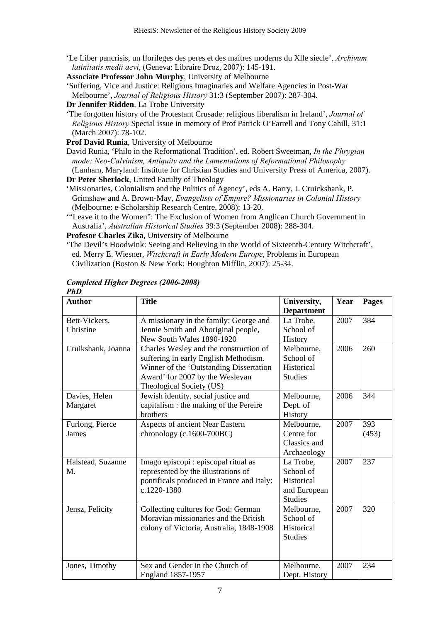- 'Le Liber pancrisis, un florileges des peres et des maitres moderns du Xlle siecle', *Archivum latinitatis medii aevi*, (Geneva: Libraire Droz, 2007): 145-191.
- **Associate Professor John Murphy**, University of Melbourne
- 'Suffering, Vice and Justice: Religious Imaginaries and Welfare Agencies in Post-War Melbourne', *Journal of Religious History* 31:3 (September 2007): 287-304.
- **Dr Jennifer Ridden**, La Trobe University
- 'The forgotten history of the Protestant Crusade: religious liberalism in Ireland', *Journal of Religious History* Special issue in memory of Prof Patrick O'Farrell and Tony Cahill, 31:1 (March 2007): 78-102.
- **Prof David Runia**, University of Melbourne
- David Runia, 'Philo in the Reformational Tradition', ed. Robert Sweetman, *In the Phrygian mode: Neo-Calvinism, Antiquity and the Lamentations of Reformational Philosophy* (Lanham, Maryland: Institute for Christian Studies and University Press of America, 2007).
- **Dr Peter Sherlock**, United Faculty of Theology
- 'Missionaries, Colonialism and the Politics of Agency', eds A. Barry, J. Cruickshank, P. Grimshaw and A. Brown-May, *Evangelists of Empire? Missionaries in Colonial History*  (Melbourne: e-Scholarship Research Centre, 2008): 13-20.
- '"Leave it to the Women": The Exclusion of Women from Anglican Church Government in Australia', *Australian Historical Studies* 39:3 (September 2008): 288-304.

**Profesor Charles Zika**, University of Melbourne

'The Devil's Hoodwink: Seeing and Believing in the World of Sixteenth-Century Witchcraft', ed. Merry E. Wiesner, *Witchcraft in Early Modern Europe*, Problems in European Civilization (Boston & New York: Houghton Mifflin, 2007): 25-34.

#### *Completed Higher Degrees (2006-2008) PhD*

| <b>Author</b>      | <b>Title</b>                              | University,       | Year | <b>Pages</b> |
|--------------------|-------------------------------------------|-------------------|------|--------------|
|                    |                                           | <b>Department</b> |      |              |
| Bett-Vickers,      | A missionary in the family: George and    | La Trobe,         | 2007 | 384          |
| Christine          | Jennie Smith and Aboriginal people,       | School of         |      |              |
|                    | New South Wales 1890-1920                 | History           |      |              |
| Cruikshank, Joanna | Charles Wesley and the construction of    | Melbourne,        | 2006 | 260          |
|                    | suffering in early English Methodism.     | School of         |      |              |
|                    | Winner of the 'Outstanding Dissertation   | Historical        |      |              |
|                    | Award' for 2007 by the Wesleyan           | <b>Studies</b>    |      |              |
|                    | Theological Society (US)                  |                   |      |              |
| Davies, Helen      | Jewish identity, social justice and       | Melbourne,        | 2006 | 344          |
| Margaret           | capitalism : the making of the Pereire    | Dept. of          |      |              |
|                    | brothers                                  | History           |      |              |
| Furlong, Pierce    | Aspects of ancient Near Eastern           | Melbourne,        | 2007 | 393          |
| James              | chronology (c.1600-700BC)                 | Centre for        |      | (453)        |
|                    |                                           | Classics and      |      |              |
|                    |                                           | Archaeology       |      |              |
| Halstead, Suzanne  | Imago episcopi : episcopal ritual as      | La Trobe,         | 2007 | 237          |
| М.                 | represented by the illustrations of       | School of         |      |              |
|                    | pontificals produced in France and Italy: | Historical        |      |              |
|                    | c.1220-1380                               | and European      |      |              |
|                    |                                           | <b>Studies</b>    |      |              |
| Jensz, Felicity    | Collecting cultures for God: German       | Melbourne,        | 2007 | 320          |
|                    | Moravian missionaries and the British     | School of         |      |              |
|                    | colony of Victoria, Australia, 1848-1908  | Historical        |      |              |
|                    |                                           | <b>Studies</b>    |      |              |
|                    |                                           |                   |      |              |
|                    |                                           |                   |      |              |
| Jones, Timothy     | Sex and Gender in the Church of           | Melbourne,        | 2007 | 234          |
|                    | England 1857-1957                         | Dept. History     |      |              |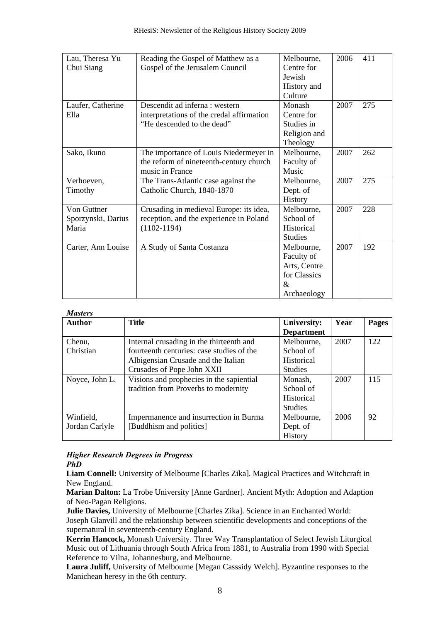| Lau, Theresa Yu    | Reading the Gospel of Matthew as a        | Melbourne,     | 2006 | 411 |
|--------------------|-------------------------------------------|----------------|------|-----|
| Chui Siang         | Gospel of the Jerusalem Council           | Centre for     |      |     |
|                    |                                           | Jewish         |      |     |
|                    |                                           | History and    |      |     |
|                    |                                           | Culture        |      |     |
| Laufer, Catherine  | Descendit ad inferna : western            | Monash         | 2007 | 275 |
| Ella               | interpretations of the credal affirmation | Centre for     |      |     |
|                    | "He descended to the dead"                | Studies in     |      |     |
|                    |                                           | Religion and   |      |     |
|                    |                                           | Theology       |      |     |
| Sako, Ikuno        | The importance of Louis Niedermeyer in    | Melbourne,     | 2007 | 262 |
|                    | the reform of nineteenth-century church   | Faculty of     |      |     |
|                    | music in France                           | Music          |      |     |
| Verhoeven,         | The Trans-Atlantic case against the       | Melbourne,     | 2007 | 275 |
| Timothy            | Catholic Church, 1840-1870                | Dept. of       |      |     |
|                    |                                           | History        |      |     |
| Von Guttner        | Crusading in medieval Europe: its idea,   | Melbourne,     | 2007 | 228 |
| Sporzynski, Darius | reception, and the experience in Poland   | School of      |      |     |
| Maria              | $(1102 - 1194)$                           | Historical     |      |     |
|                    |                                           | <b>Studies</b> |      |     |
| Carter, Ann Louise | A Study of Santa Costanza                 | Melbourne,     | 2007 | 192 |
|                    |                                           | Faculty of     |      |     |
|                    |                                           | Arts, Centre   |      |     |
|                    |                                           | for Classics   |      |     |
|                    |                                           | $\&$           |      |     |
|                    |                                           | Archaeology    |      |     |

#### *Masters*

| ---------      |                                           |                    |      |       |
|----------------|-------------------------------------------|--------------------|------|-------|
| <b>Author</b>  | <b>Title</b>                              | <b>University:</b> | Year | Pages |
|                |                                           | <b>Department</b>  |      |       |
| Chenu,         | Internal crusading in the thirteenth and  | Melbourne,         | 2007 | 122   |
| Christian      | fourteenth centuries: case studies of the | School of          |      |       |
|                | Albigensian Crusade and the Italian       | Historical         |      |       |
|                | Crusades of Pope John XXII                | <b>Studies</b>     |      |       |
| Noyce, John L. | Visions and prophecies in the sapiential  | Monash,            | 2007 | 115   |
|                | tradition from Proverbs to modernity      | School of          |      |       |
|                |                                           | <b>Historical</b>  |      |       |
|                |                                           | <b>Studies</b>     |      |       |
| Winfield,      | Impermanence and insurrection in Burma    | Melbourne,         | 2006 | 92    |
| Jordan Carlyle | [Buddhism and politics]                   | Dept. of           |      |       |
|                |                                           | <b>History</b>     |      |       |

## *Higher Research Degrees in Progress PhD*

**Liam Connell:** University of Melbourne [Charles Zika]. Magical Practices and Witchcraft in New England.

**Marian Dalton:** La Trobe University [Anne Gardner]. Ancient Myth: Adoption and Adaption of Neo-Pagan Religions.

**Julie Davies,** University of Melbourne [Charles Zika]. Science in an Enchanted World: Joseph Glanvill and the relationship between scientific developments and conceptions of the supernatural in seventeenth-century England.

**Kerrin Hancock,** Monash University. Three Way Transplantation of Select Jewish Liturgical Music out of Lithuania through South Africa from 1881, to Australia from 1990 with Special Reference to Vilna, Johannesburg, and Melbourne.

**Laura Juliff,** University of Melbourne [Megan Casssidy Welch]. Byzantine responses to the Manichean heresy in the 6th century.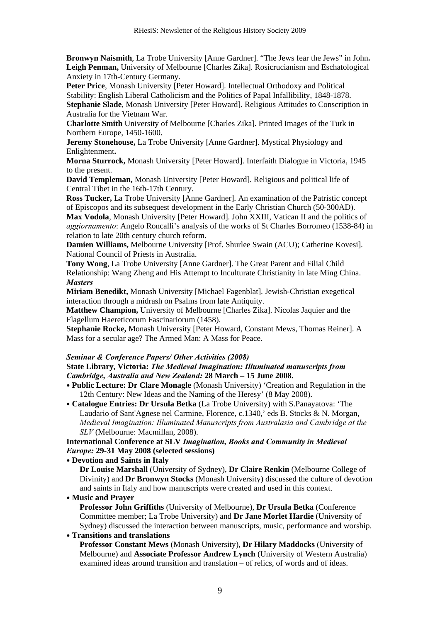**Bronwyn Naismith**, La Trobe University [Anne Gardner]. "The Jews fear the Jews" in John**. Leigh Penman,** University of Melbourne [Charles Zika]. Rosicrucianism and Eschatological Anxiety in 17th-Century Germany.

**Peter Price**, Monash University [Peter Howard]. Intellectual Orthodoxy and Political Stability: English Liberal Catholicism and the Politics of Papal Infallibility, 1848-1878.

**Stephanie Slade**, Monash University [Peter Howard]. Religious Attitudes to Conscription in Australia for the Vietnam War.

**Charlotte Smith** University of Melbourne [Charles Zika]. Printed Images of the Turk in Northern Europe, 1450-1600.

**Jeremy Stonehouse,** La Trobe University [Anne Gardner]. Mystical Physiology and Enlightenment**.** 

**Morna Sturrock,** Monash University [Peter Howard]. Interfaith Dialogue in Victoria, 1945 to the present.

**David Templeman,** Monash University [Peter Howard]. Religious and political life of Central Tibet in the 16th-17th Century.

**Ross Tucker,** La Trobe University [Anne Gardner]. An examination of the Patristic concept of Episcopos and its subsequest development in the Early Christian Church (50-300AD).

**Max Vodola**, Monash University [Peter Howard]. John XXIII, Vatican II and the politics of *aggiornamento*: Angelo Roncalli's analysis of the works of St Charles Borromeo (1538-84) in relation to late 20th century church reform.

**Damien Williams,** Melbourne University [Prof. Shurlee Swain (ACU); Catherine Kovesi]. National Council of Priests in Australia.

**Tony Wong**, La Trobe University [Anne Gardner]. The Great Parent and Filial Child Relationship: Wang Zheng and His Attempt to Inculturate Christianity in late Ming China. *Masters* 

**Miriam Benedikt,** Monash University [Michael Fagenblat]. Jewish-Christian exegetical interaction through a midrash on Psalms from late Antiquity.

**Matthew Champion,** University of Melbourne [Charles Zika]. Nicolas Jaquier and the Flagellum Haereticorum Fascinariorum (1458).

**Stephanie Rocke,** Monash University [Peter Howard, Constant Mews, Thomas Reiner]. A Mass for a secular age? The Armed Man: A Mass for Peace.

## *Seminar & Conference Papers/ Other Activities (2008)*

## **State Library, Victoria:** *The Medieval Imagination: Illuminated manuscripts from Cambridge, Australia and New Zealand:* **28 March – 15 June 2008.**

- **Public Lecture: Dr Clare Monagle** (Monash University) 'Creation and Regulation in the 12th Century: New Ideas and the Naming of the Heresy' (8 May 2008).
- **Catalogue Entries: Dr Ursula Betka** (La Trobe University) with S.Panayatova: 'The Laudario of Sant'Agnese nel Carmine, Florence, c.1340,' eds B. Stocks & N. Morgan, *Medieval Imagination: Illuminated Manuscripts from Australasia and Cambridge at the SLV* (Melbourne: Macmillan, 2008).

**International Conference at SLV** *Imagination, Books and Community in Medieval Europe:* **29-31 May 2008 (selected sessions)** 

• **Devotion and Saints in Italy** 

**Dr Louise Marshall** (University of Sydney), **Dr Claire Renkin** (Melbourne College of Divinity) and **Dr Bronwyn Stocks** (Monash University) discussed the culture of devotion and saints in Italy and how manuscripts were created and used in this context.

• **Music and Prayer** 

**Professor John Griffiths** (University of Melbourne), **Dr Ursula Betka** (Conference Committee member; La Trobe University) and **Dr Jane Morlet Hardie** (University of Sydney) discussed the interaction between manuscripts, music, performance and worship.

# • **Transitions and translations**

**Professor Constant Mews** (Monash University), **Dr Hilary Maddocks** (University of Melbourne) and **Associate Professor Andrew Lynch** (University of Western Australia) examined ideas around transition and translation – of relics, of words and of ideas.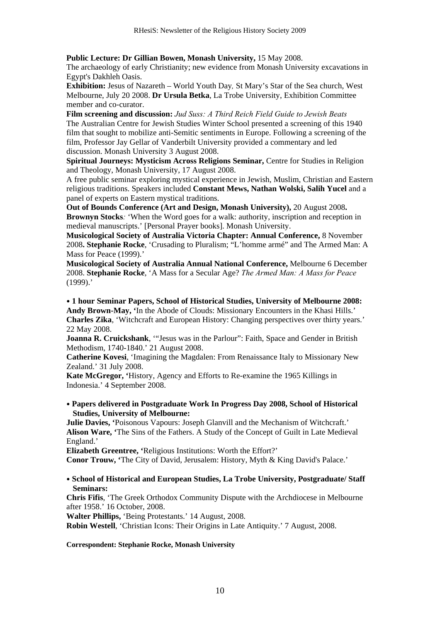**Public Lecture: Dr Gillian Bowen, Monash University,** 15 May 2008.

The archaeology of early Christianity; new evidence from Monash University excavations in Egypt's Dakhleh Oasis.

**Exhibition:** Jesus of Nazareth – World Youth Day*,* St Mary's Star of the Sea church, West Melbourne, July 20 2008. **Dr Ursula Betka**, La Trobe University, Exhibition Committee member and co-curator.

**Film screening and discussion:** *Jud Suss: A Third Reich Field Guide to Jewish Beats*  The Australian Centre for Jewish Studies Winter School presented a screening of this 1940 film that sought to mobilize anti-Semitic sentiments in Europe. Following a screening of the film, Professor Jay Gellar of Vanderbilt University provided a commentary and led discussion. Monash University 3 August 2008.

**Spiritual Journeys: Mysticism Across Religions Seminar,** Centre for Studies in Religion and Theology, Monash University, 17 August 2008.

A free public seminar exploring mystical experience in Jewish, Muslim, Christian and Eastern religious traditions. Speakers included **Constant Mews, Nathan Wolski, Salih Yucel** and a panel of experts on Eastern mystical traditions.

**Out of Bounds Conference (Art and Design, Monash University),** 20 August 2008**. Brownyn Stocks***:* 'When the Word goes for a walk: authority, inscription and reception in medieval manuscripts.' [Personal Prayer books]. Monash University.

**Musicological Society of Australia Victoria Chapter: Annual Conference,** 8 November 2008**. Stephanie Rocke**, 'Crusading to Pluralism; "L'homme armé" and The Armed Man: A Mass for Peace (1999).'

**Musicological Society of Australia Annual National Conference,** Melbourne 6 December 2008. **Stephanie Rocke**, 'A Mass for a Secular Age? *The Armed Man: A Mass for Peace* (1999).'

• **1 hour Seminar Papers, School of Historical Studies, University of Melbourne 2008: Andy Brown-May, '**In the Abode of Clouds: Missionary Encounters in the Khasi Hills.' **Charles Zika**, 'Witchcraft and European History: Changing perspectives over thirty years.' 22 May 2008.

**Joanna R. Cruickshank**, '"Jesus was in the Parlour": Faith, Space and Gender in British Methodism, 1740-1840.' 21 August 2008.

**Catherine Kovesi**, 'Imagining the Magdalen: From Renaissance Italy to Missionary New Zealand.' 31 July 2008.

**Kate McGregor, '**History, Agency and Efforts to Re-examine the 1965 Killings in Indonesia.' 4 September 2008.

• **Papers delivered in Postgraduate Work In Progress Day 2008, School of Historical Studies, University of Melbourne:** 

**Julie Davies, '**Poisonous Vapours: Joseph Glanvill and the Mechanism of Witchcraft.' **Alison Ware, '**The Sins of the Fathers. A Study of the Concept of Guilt in Late Medieval England.'

**Elizabeth Greentree, '**Religious Institutions: Worth the Effort?'

**Conor Trouw, '**The City of David, Jerusalem: History, Myth & King David's Palace.'

#### • **School of Historical and European Studies, La Trobe University, Postgraduate/ Staff Seminars:**

**Chris Fifis**, 'The Greek Orthodox Community Dispute with the Archdiocese in Melbourne after 1958.' 16 October, 2008.

**Walter Phillips,** 'Being Protestants.' 14 August, 2008.

**Robin Westell**, 'Christian Icons: Their Origins in Late Antiquity.' 7 August, 2008.

#### **Correspondent: Stephanie Rocke, Monash University**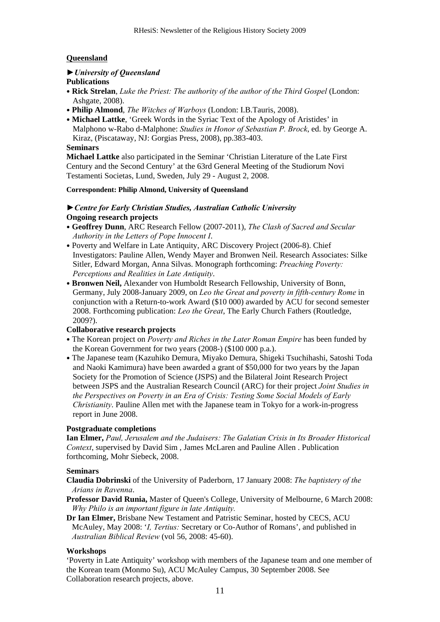# **Queensland**

# *►University of Queensland*

# **Publications**

- **Rick Strelan**, *Luke the Priest: The authority of the author of the Third Gospel* (London: Ashgate, 2008).
- **Philip Almond**, *The Witches of Warboys* (London: I.B.Tauris, 2008).
- **Michael Lattke**, 'Greek Words in the Syriac Text of the Apology of Aristides' in Malphono w-Rabo d-Malphone: *Studies in Honor of Sebastian P. Brock*, ed. by George A. Kiraz, (Piscataway, NJ: Gorgias Press, 2008), pp.383-403.

## **Seminars**

**Michael Lattke** also participated in the Seminar 'Christian Literature of the Late First Century and the Second Century' at the 63rd General Meeting of the Studiorum Novi Testamenti Societas, Lund, Sweden, July 29 - August 2, 2008.

## **Correspondent: Philip Almond, University of Queensland**

# *►Centre for Early Christian Studies, Australian Catholic University*  **Ongoing research projects**

- **Geoffrey Dunn**, ARC Research Fellow (2007-2011), *The Clash of Sacred and Secular Authority in the Letters of Pope Innocent I*.
- Poverty and Welfare in Late Antiquity, ARC Discovery Project (2006-8). Chief Investigators: Pauline Allen, Wendy Mayer and Bronwen Neil. Research Associates: Silke Sitler, Edward Morgan, Anna Silvas. Monograph forthcoming: *Preaching Poverty: Perceptions and Realities in Late Antiquity*.
- **Bronwen Neil,** Alexander von Humboldt Research Fellowship, University of Bonn, Germany, July 2008-January 2009, on *Leo the Great and poverty in fifth-century Rome* in conjunction with a Return-to-work Award (\$10 000) awarded by ACU for second semester 2008. Forthcoming publication: *Leo the Great*, The Early Church Fathers (Routledge, 2009?).

# **Collaborative research projects**

- The Korean project on *Poverty and Riches in the Later Roman Empire* has been funded by the Korean Government for two years (2008-) (\$100 000 p.a.).
- The Japanese team (Kazuhiko Demura, Miyako Demura, Shigeki Tsuchihashi, Satoshi Toda and Naoki Kamimura) have been awarded a grant of \$50,000 for two years by the Japan Society for the Promotion of Science (JSPS) and the Bilateral Joint Research Project between JSPS and the Australian Research Council (ARC) for their project *Joint Studies in the Perspectives on Poverty in an Era of Crisis: Testing Some Social Models of Early Christianity*. Pauline Allen met with the Japanese team in Tokyo for a work-in-progress report in June 2008.

## **Postgraduate completions**

**Ian Elmer,** *Paul, Jerusalem and the Judaisers: The Galatian Crisis in Its Broader Historical Context*, supervised by David Sim , James McLaren and Pauline Allen . Publication forthcoming, Mohr Siebeck, 2008.

## **Seminars**

- **Claudia Dobrinski** of the University of Paderborn, 17 January 2008: *The baptistery of the Arians in Ravenna*.
- **Professor David Runia,** Master of Queen's College, University of Melbourne, 6 March 2008: *Why Philo is an important figure in late Antiquity.*
- **Dr Ian Elmer,** Brisbane New Testament and Patristic Seminar, hosted by CECS, ACU McAuley, May 2008: '*I, Tertius:* Secretary or Co-Author of Romans', and published in *Australian Biblical Review* (vol 56, 2008: 45-60).

# **Workshops**

'Poverty in Late Antiquity' workshop with members of the Japanese team and one member of the Korean team (Monmo Su), ACU McAuley Campus, 30 September 2008. See Collaboration research projects, above.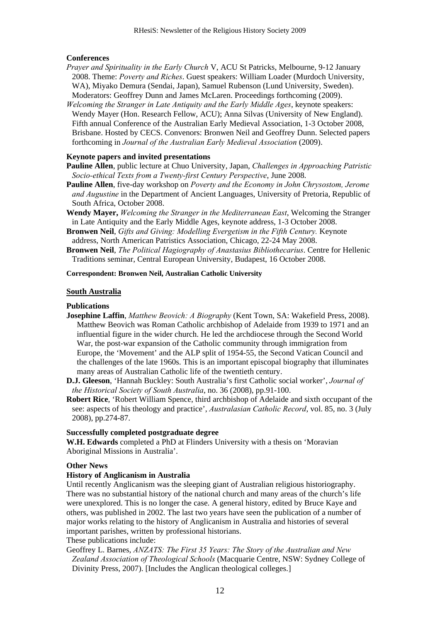#### **Conferences**

- *Prayer and Spirituality in the Early Church* V, ACU St Patricks, Melbourne, 9-12 January 2008. Theme: *Poverty and Riches*. Guest speakers: William Loader (Murdoch University, WA), Miyako Demura (Sendai, Japan), Samuel Rubenson (Lund University, Sweden). Moderators: Geoffrey Dunn and James McLaren. Proceedings forthcoming (2009).
- *Welcoming the Stranger in Late Antiquity and the Early Middle Ages*, keynote speakers: Wendy Mayer (Hon. Research Fellow, ACU); Anna Silvas (University of New England). Fifth annual Conference of the Australian Early Medieval Association, 1-3 October 2008, Brisbane. Hosted by CECS. Convenors: Bronwen Neil and Geoffrey Dunn. Selected papers forthcoming in *Journal of the Australian Early Medieval Association* (2009).

#### **Keynote papers and invited presentations**

- **Pauline Allen**, public lecture at Chuo University, Japan, *Challenges in Approaching Patristic Socio-ethical Texts from a Twenty-first Century Perspective*, June 2008.
- **Pauline Allen**, five-day workshop on *Poverty and the Economy in John Chrysostom, Jerome and Augustine* in the Department of Ancient Languages, University of Pretoria, Republic of South Africa, October 2008.
- **Wendy Mayer,** *Welcoming the Stranger in the Mediterranean East*, Welcoming the Stranger in Late Antiquity and the Early Middle Ages, keynote address, 1-3 October 2008.
- **Bronwen Neil**, *Gifts and Giving: Modelling Evergetism in the Fifth Century.* Keynote address, North American Patristics Association, Chicago, 22-24 May 2008.
- **Bronwen Neil**, *The Political Hagiography of Anastasius Bibliothecarius*. Centre for Hellenic Traditions seminar, Central European University, Budapest, 16 October 2008.

#### **Correspondent: Bronwen Neil, Australian Catholic University**

#### **South Australia**

## **Publications**

- **Josephine Laffin**, *Matthew Beovich: A Biography* (Kent Town, SA: Wakefield Press, 2008). Matthew Beovich was Roman Catholic archbishop of Adelaide from 1939 to 1971 and an influential figure in the wider church. He led the archdiocese through the Second World War, the post-war expansion of the Catholic community through immigration from Europe, the 'Movement' and the ALP split of 1954-55, the Second Vatican Council and the challenges of the late 1960s. This is an important episcopal biography that illuminates many areas of Australian Catholic life of the twentieth century.
- **D.J. Gleeson**, 'Hannah Buckley: South Australia's first Catholic social worker', *Journal of the Historical Society of South Australia*, no. 36 (2008), pp.91-100.
- **Robert Rice**, 'Robert William Spence, third archbishop of Adelaide and sixth occupant of the see: aspects of his theology and practice', *Australasian Catholic Record*, vol. 85, no. 3 (July 2008), pp.274-87.

#### **Successfully completed postgraduate degree**

**W.H. Edwards** completed a PhD at Flinders University with a thesis on 'Moravian Aboriginal Missions in Australia'.

#### **Other News**

#### **History of Anglicanism in Australia**

Until recently Anglicanism was the sleeping giant of Australian religious historiography. There was no substantial history of the national church and many areas of the church's life were unexplored. This is no longer the case. A general history, edited by Bruce Kaye and others, was published in 2002. The last two years have seen the publication of a number of major works relating to the history of Anglicanism in Australia and histories of several important parishes, written by professional historians.

These publications include:

Geoffrey L. Barnes, *ANZATS: The First 35 Years: The Story of the Australian and New Zealand Association of Theological Schools* (Macquarie Centre, NSW: Sydney College of Divinity Press, 2007). [Includes the Anglican theological colleges.]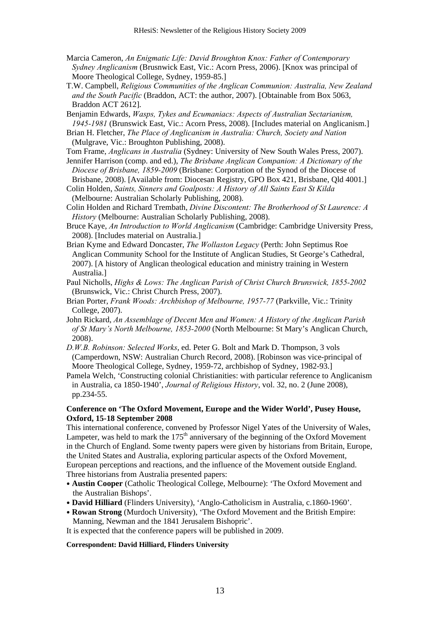- Marcia Cameron, *An Enigmatic Life: David Broughton Knox: Father of Contemporary Sydney Anglicanism* (Brusnwick East, Vic.: Acorn Press, 2006). [Knox was principal of Moore Theological College, Sydney, 1959-85.]
- T.W. Campbell, *Religious Communities of the Anglican Communion: Australia, New Zealand and the South Pacific* (Braddon, ACT: the author, 2007). [Obtainable from Box 5063, Braddon ACT 2612].
- Benjamin Edwards, *Wasps, Tykes and Ecumaniacs: Aspects of Australian Sectarianism, 1945-1981* (Brunswick East, Vic.: Acorn Press, 2008). [Includes material on Anglicanism.]
- Brian H. Fletcher, *The Place of Anglicanism in Australia: Church, Society and Nation* (Mulgrave, Vic.: Broughton Publishing, 2008).
- Tom Frame, *Anglicans in Australia* (Sydney: University of New South Wales Press, 2007). Jennifer Harrison (comp. and ed.), *The Brisbane Anglican Companion: A Dictionary of the*
- *Diocese of Brisbane, 1859-2009* (Brisbane: Corporation of the Synod of the Diocese of Brisbane, 2008). [Available from: Diocesan Registry, GPO Box 421, Brisbane, Qld 4001.]
- Colin Holden, *Saints, Sinners and Goalposts: A History of All Saints East St Kilda* (Melbourne: Australian Scholarly Publishing, 2008).
- Colin Holden and Richard Trembath, *Divine Discontent: The Brotherhood of St Laurence: A History* (Melbourne: Australian Scholarly Publishing, 2008).
- Bruce Kaye, *An Introduction to World Anglicanism* (Cambridge: Cambridge University Press, 2008). [Includes material on Australia.]
- Brian Kyme and Edward Doncaster, *The Wollaston Legacy* (Perth: John Septimus Roe Anglican Community School for the Institute of Anglican Studies, St George's Cathedral, 2007). [A history of Anglican theological education and ministry training in Western Australia.]
- Paul Nicholls, *Highs & Lows: The Anglican Parish of Christ Church Brunswick, 1855-2002* (Brunswick, Vic.: Christ Church Press, 2007).
- Brian Porter, *Frank Woods: Archbishop of Melbourne, 1957-77* (Parkville, Vic.: Trinity College, 2007).
- John Rickard, *An Assemblage of Decent Men and Women: A History of the Anglican Parish of St Mary's North Melbourne, 1853-2000* (North Melbourne: St Mary's Anglican Church, 2008).
- *D.W.B. Robinson: Selected Works*, ed. Peter G. Bolt and Mark D. Thompson, 3 vols (Camperdown, NSW: Australian Church Record, 2008). [Robinson was vice-principal of Moore Theological College, Sydney, 1959-72, archbishop of Sydney, 1982-93.]
- Pamela Welch, 'Constructing colonial Christianities: with particular reference to Anglicanism in Australia, ca 1850-1940', *Journal of Religious History*, vol. 32, no. 2 (June 2008), pp.234-55.

# **Conference on 'The Oxford Movement, Europe and the Wider World', Pusey House, Oxford, 15-18 September 2008**

This international conference, convened by Professor Nigel Yates of the University of Wales, Lampeter, was held to mark the  $175<sup>th</sup>$  anniversary of the beginning of the Oxford Movement in the Church of England. Some twenty papers were given by historians from Britain, Europe, the United States and Australia, exploring particular aspects of the Oxford Movement, European perceptions and reactions, and the influence of the Movement outside England. Three historians from Australia presented papers:

- **Austin Cooper** (Catholic Theological College, Melbourne): 'The Oxford Movement and the Australian Bishops'.
- **David Hilliard** (Flinders University), 'Anglo-Catholicism in Australia, c.1860-1960'.
- **Rowan Strong** (Murdoch University), 'The Oxford Movement and the British Empire: Manning, Newman and the 1841 Jerusalem Bishopric'.

It is expected that the conference papers will be published in 2009.

## **Correspondent: David Hilliard, Flinders University**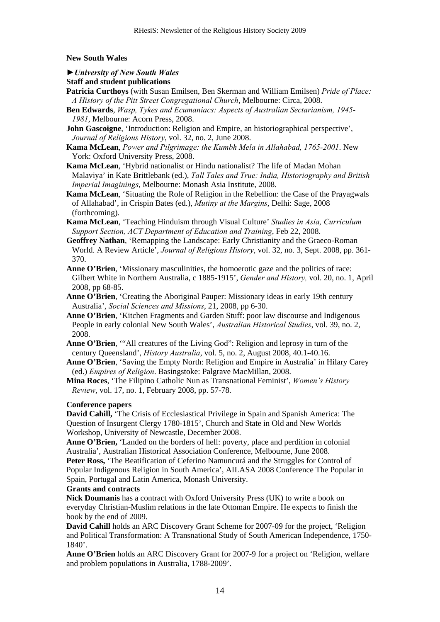## **New South Wales**

## *►University of New South Wales*

#### **Staff and student publications**

- **Patricia Curthoys** (with Susan Emilsen, Ben Skerman and William Emilsen) *Pride of Place: A History of the Pitt Street Congregational Church*, Melbourne: Circa, 2008.
- **Ben Edwards**, *Wasp, Tykes and Ecumaniacs: Aspects of Australian Sectarianism, 1945- 1981*, Melbourne: Acorn Press, 2008.
- **John Gascoigne**, 'Introduction: Religion and Empire, an historiographical perspective', *Journal of Religious History*, vol. 32, no. 2, June 2008.
- **Kama McLean**, *Power and Pilgrimage: the Kumbh Mela in Allahabad, 1765-2001*. New York: Oxford University Press, 2008.
- **Kama McLean**, 'Hybrid nationalist or Hindu nationalist? The life of Madan Mohan Malaviya' in Kate Brittlebank (ed.), *Tall Tales and True: India, Historiography and British Imperial Imaginings*, Melbourne: Monash Asia Institute, 2008.
- **Kama McLean**, 'Situating the Role of Religion in the Rebellion: the Case of the Prayagwals of Allahabad', in Crispin Bates (ed.), *Mutiny at the Margins*, Delhi: Sage, 2008 (forthcoming).
- **Kama McLean**, 'Teaching Hinduism through Visual Culture' *Studies in Asia, Curriculum Support Section, ACT Department of Education and Training*, Feb 22, 2008.
- **Geoffrey Nathan**, 'Remapping the Landscape: Early Christianity and the Graeco-Roman World. A Review Article', *Journal of Religious History*, vol. 32, no. 3, Sept. 2008, pp. 361- 370.
- **Anne O'Brien**, 'Missionary masculinities, the homoerotic gaze and the politics of race: Gilbert White in Northern Australia, c 1885-1915', *Gender and History,* vol. 20, no. 1, April 2008, pp 68-85.
- **Anne O'Brien**, 'Creating the Aboriginal Pauper: Missionary ideas in early 19th century Australia', *Social Sciences and Missions*, 21, 2008, pp 6-30.
- **Anne O'Brien**, 'Kitchen Fragments and Garden Stuff: poor law discourse and Indigenous People in early colonial New South Wales', *Australian Historical Studies*, vol. 39, no. 2, 2008.
- **Anne O'Brien**, '"All creatures of the Living God": Religion and leprosy in turn of the century Queensland', *History Australia*, vol. 5, no. 2, August 2008, 40.1-40.16.
- **Anne O'Brien**, 'Saving the Empty North: Religion and Empire in Australia' in Hilary Carey (ed.) *Empires of Religion*. Basingstoke: Palgrave MacMillan, 2008.

**Mina Roces**, 'The Filipino Catholic Nun as Transnational Feminist', *Women's History Review*, vol. 17, no. 1, February 2008, pp. 57-78.

#### **Conference papers**

**David Cahill,** 'The Crisis of Ecclesiastical Privilege in Spain and Spanish America: The Question of Insurgent Clergy 1780-1815', Church and State in Old and New Worlds Workshop, University of Newcastle, December 2008.

**Anne O'Brien,** 'Landed on the borders of hell: poverty, place and perdition in colonial Australia', Australian Historical Association Conference, Melbourne, June 2008. **Peter Ross,** 'The Beatification of Ceferino Namuncurá and the Struggles for Control of Popular Indigenous Religion in South America', AILASA 2008 Conference The Popular in Spain, Portugal and Latin America, Monash University.

#### **Grants and contracts**

**Nick Doumanis** has a contract with Oxford University Press (UK) to write a book on everyday Christian-Muslim relations in the late Ottoman Empire. He expects to finish the book by the end of 2009.

**David Cahill** holds an ARC Discovery Grant Scheme for 2007-09 for the project, 'Religion and Political Transformation: A Transnational Study of South American Independence, 1750- 1840'.

**Anne O'Brien** holds an ARC Discovery Grant for 2007-9 for a project on 'Religion, welfare and problem populations in Australia, 1788-2009'.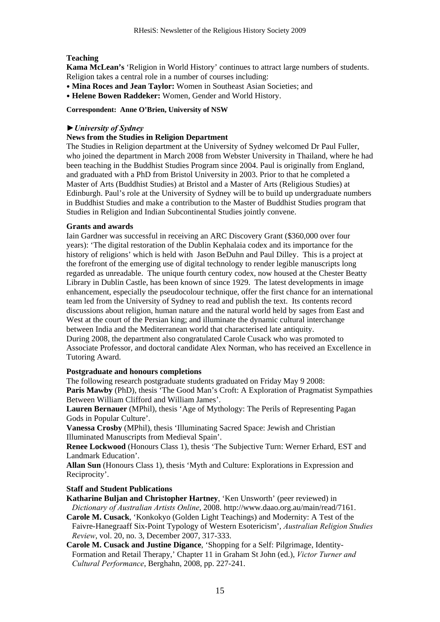# **Teaching**

**Kama McLean's** 'Religion in World History' continues to attract large numbers of students. Religion takes a central role in a number of courses including:

- **Mina Roces and Jean Taylor:** Women in Southeast Asian Societies; and
- **Helene Bowen Raddeker:** Women, Gender and World History.

#### **Correspondent: Anne O'Brien, University of NSW**

## *►University of Sydney*

## **News from the Studies in Religion Department**

The Studies in Religion department at the University of Sydney welcomed Dr Paul Fuller, who joined the department in March 2008 from Webster University in Thailand, where he had been teaching in the Buddhist Studies Program since 2004. Paul is originally from England, and graduated with a PhD from Bristol University in 2003. Prior to that he completed a Master of Arts (Buddhist Studies) at Bristol and a Master of Arts (Religious Studies) at Edinburgh. Paul's role at the University of Sydney will be to build up undergraduate numbers in Buddhist Studies and make a contribution to the Master of Buddhist Studies program that Studies in Religion and Indian Subcontinental Studies jointly convene.

## **Grants and awards**

Iain Gardner was successful in receiving an ARC Discovery Grant (\$360,000 over four years): 'The digital restoration of the Dublin Kephalaia codex and its importance for the history of religions' which is held with Jason BeDuhn and Paul Dilley. This is a project at the forefront of the emerging use of digital technology to render legible manuscripts long regarded as unreadable. The unique fourth century codex, now housed at the Chester Beatty Library in Dublin Castle, has been known of since 1929. The latest developments in image enhancement, especially the pseudocolour technique, offer the first chance for an international team led from the University of Sydney to read and publish the text. Its contents record discussions about religion, human nature and the natural world held by sages from East and West at the court of the Persian king; and illuminate the dynamic cultural interchange between India and the Mediterranean world that characterised late antiquity. During 2008, the department also congratulated Carole Cusack who was promoted to

Associate Professor, and doctoral candidate Alex Norman, who has received an Excellence in Tutoring Award.

## **Postgraduate and honours completions**

The following research postgraduate students graduated on Friday May 9 2008: **Paris Mawby** (PhD), thesis 'The Good Man's Croft: A Exploration of Pragmatist Sympathies

Between William Clifford and William James'.

**Lauren Bernauer** (MPhil), thesis 'Age of Mythology: The Perils of Representing Pagan Gods in Popular Culture'.

**Vanessa Crosby** (MPhil), thesis 'Illuminating Sacred Space: Jewish and Christian Illuminated Manuscripts from Medieval Spain'.

**Renee Lockwood** (Honours Class 1), thesis 'The Subjective Turn: Werner Erhard, EST and Landmark Education'.

**Allan Sun** (Honours Class 1), thesis 'Myth and Culture: Explorations in Expression and Reciprocity'.

## **Staff and Student Publications**

**Katharine Buljan and Christopher Hartney**, 'Ken Unsworth' (peer reviewed) in *Dictionary of Australian Artists Online*, 2008. http://www.daao.org.au/main/read/7161.

**Carole M. Cusack**, 'Konkokyo (Golden Light Teachings) and Modernity: A Test of the Faivre-Hanegraaff Six-Point Typology of Western Esotericism', *Australian Religion Studies Review*, vol. 20, no. 3, December 2007, 317-333.

**Carole M. Cusack and Justine Digance**, 'Shopping for a Self: Pilgrimage, Identity-Formation and Retail Therapy,' Chapter 11 in Graham St John (ed.), *Victor Turner and Cultural Performance*, Berghahn, 2008, pp. 227-241.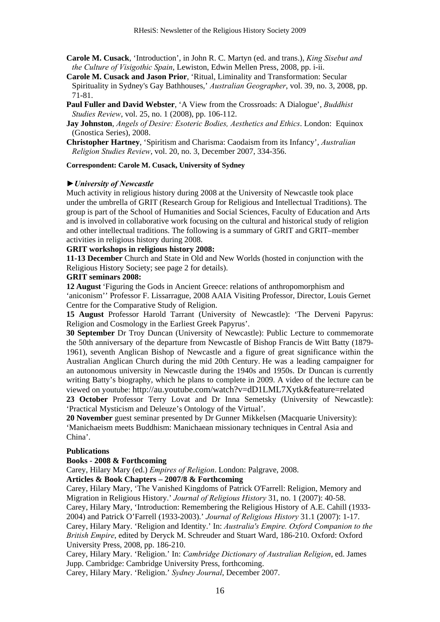- **Carole M. Cusack**, 'Introduction', in John R. C. Martyn (ed. and trans.), *King Sisebut and the Culture of Visigothic Spain*, Lewiston, Edwin Mellen Press, 2008, pp. i-ii.
- **Carole M. Cusack and Jason Prior**, 'Ritual, Liminality and Transformation: Secular Spirituality in Sydney's Gay Bathhouses,' *Australian Geographer*, vol. 39, no. 3, 2008, pp. 71-81.
- **Paul Fuller and David Webster**, 'A View from the Crossroads: A Dialogue', *Buddhist Studies Review*, vol. 25, no. 1 (2008), pp. 106-112.
- **Jay Johnston**, *Angels of Desire: Esoteric Bodies, Aesthetics and Ethics*. London: Equinox (Gnostica Series), 2008.
- **Christopher Hartney**, 'Spiritism and Charisma: Caodaism from its Infancy', *Australian Religion Studies Review*, vol. 20, no. 3, December 2007, 334-356.

#### **Correspondent: Carole M. Cusack, University of Sydney**

## *►University of Newcastle*

Much activity in religious history during 2008 at the University of Newcastle took place under the umbrella of GRIT (Research Group for Religious and Intellectual Traditions). The group is part of the School of Humanities and Social Sciences, Faculty of Education and Arts and is involved in collaborative work focusing on the cultural and historical study of religion and other intellectual traditions. The following is a summary of GRIT and GRIT–member activities in religious history during 2008.

#### **GRIT workshops in religious history 2008:**

**11-13 December** Church and State in Old and New Worlds (hosted in conjunction with the Religious History Society; see page 2 for details).

#### **GRIT seminars 2008:**

**12 August** 'Figuring the Gods in Ancient Greece: relations of anthropomorphism and 'aniconism'' Professor F. Lissarrague, 2008 AAIA Visiting Professor, Director, Louis Gernet Centre for the Comparative Study of Religion.

**15 August** Professor Harold Tarrant (University of Newcastle): 'The Derveni Papyrus: Religion and Cosmology in the Earliest Greek Papyrus'.

**30 September** Dr Troy Duncan (University of Newcastle): Public Lecture to commemorate the 50th anniversary of the departure from Newcastle of Bishop Francis de Witt Batty (1879- 1961), seventh Anglican Bishop of Newcastle and a figure of great significance within the Australian Anglican Church during the mid 20th Century. He was a leading campaigner for an autonomous university in Newcastle during the 1940s and 1950s. Dr Duncan is currently writing Batty's biography, which he plans to complete in 2009. A video of the lecture can be viewed on youtube: http://au.youtube.com/watch?v=dD1LML7Xytk&feature=related

**23 October** Professor Terry Lovat and Dr Inna Semetsky (University of Newcastle): 'Practical Mysticism and Deleuze's Ontology of the Virtual'.

**20 November** guest seminar presented by Dr Gunner Mikkelsen (Macquarie University): 'Manichaeism meets Buddhism: Manichaean missionary techniques in Central Asia and China'.

#### **Publications**

#### **Books - 2008 & Forthcoming**

Carey, Hilary Mary (ed.) *Empires of Religion*. London: Palgrave, 2008.

#### **Articles & Book Chapters – 2007/8 & Forthcoming**

Carey, Hilary Mary, 'The Vanished Kingdoms of Patrick O'Farrell: Religion, Memory and Migration in Religious History.' *Journal of Religious History* 31, no. 1 (2007): 40-58. Carey, Hilary Mary, 'Introduction: Remembering the Religious History of A.E. Cahill (1933- 2004) and Patrick O'Farrell (1933-2003).' *Journal of Religious History* 31.1 (2007): 1-17. Carey, Hilary Mary. 'Religion and Identity.' In: *Australia's Empire. Oxford Companion to the British Empire*, edited by Deryck M. Schreuder and Stuart Ward, 186-210. Oxford: Oxford University Press, 2008, pp. 186-210.

Carey, Hilary Mary. 'Religion.' In: *Cambridge Dictionary of Australian Religion*, ed. James Jupp. Cambridge: Cambridge University Press, forthcoming.

Carey, Hilary Mary. 'Religion.' *Sydney Journal*, December 2007.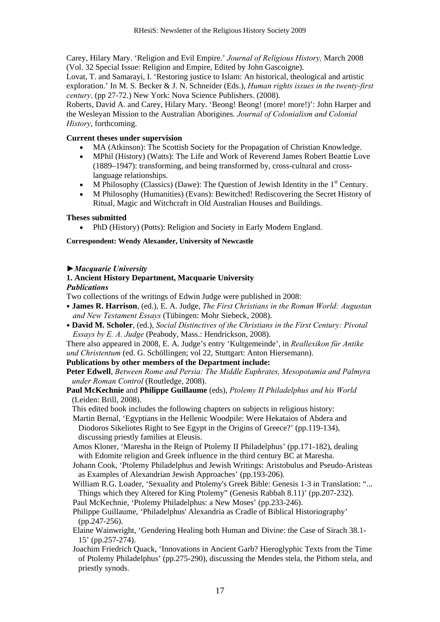Carey, Hilary Mary. 'Religion and Evil Empire.' *Journal of Religious History,* March 2008 (Vol. 32 Special Issue: Religion and Empire, Edited by John Gascoigne).

Lovat, T. and Samarayi, I. 'Restoring justice to Islam: An historical, theological and artistic exploration.' In M. S. Becker & J. N. Schneider (Eds.), *Human rights issues in the twenty-first century*. (pp 27-72.) New York: Nova Science Publishers. (2008).

Roberts, David A. and Carey, Hilary Mary. 'Beong! Beong! (more! more!)': John Harper and the Wesleyan Mission to the Australian Aborigines. *Journal of Colonialism and Colonial History*, forthcoming.

## **Current theses under supervision**

- MA (Atkinson): The Scottish Society for the Propagation of Christian Knowledge.
- MPhil (History) (Watts): The Life and Work of Reverend James Robert Beattie Love (1889–1947): transforming, and being transformed by, cross-cultural and crosslanguage relationships.
- M Philosophy (Classics) (Dawe): The Question of Jewish Identity in the  $1<sup>st</sup>$  Century.
- M Philosophy (Humanities) (Evans): Bewitched! Rediscovering the Secret History of Ritual, Magic and Witchcraft in Old Australian Houses and Buildings.

#### **Theses submitted**

• PhD (History) (Potts): Religion and Society in Early Modern England.

#### **Correspondent: Wendy Alexander, University of Newcastle**

#### *►Macquarie University*

#### **1. Ancient History Department, Macquarie University**

#### *Publications*

Two collections of the writings of Edwin Judge were published in 2008:

- **James R. Harrison**, (ed.), E. A. Judge, *The First Christians in the Roman World: Augustan and New Testament Essays* (Tübingen: Mohr Siebeck, 2008).
- **David M. Scholer**, (ed.), *Social Distinctives of the Christians in the First Century: Pivotal Essays by E. A. Judge* (Peabody, Mass.: Hendrickson, 2008).

There also appeared in 2008, E. A. Judge's entry 'Kultgemeinde', in *Reallexikon für Antike und Christentum* (ed. G. Schöllingen; vol 22, Stuttgart: Anton Hiersemann).

#### **Publications by other members of the Department include:**

**Peter Edwell**, *Between Rome and Persia: The Middle Euphrates, Mesopotamia and Palmyra under Roman Control* (Routledge, 2008).

**Paul McKechnie** and **Philippe Guillaume** (eds), *Ptolemy II Philadelphus and his World* (Leiden: Brill, 2008).

This edited book includes the following chapters on subjects in religious history:

Martin Bernal, 'Egyptians in the Hellenic Woodpile: Were Hekataios of Abdera and Diodoros Sikeliotes Right to See Egypt in the Origins of Greece?' (pp.119-134), discussing priestly families at Eleusis.

- Amos Kloner, 'Maresha in the Reign of Ptolemy II Philadelphus' (pp.171-182), dealing with Edomite religion and Greek influence in the third century BC at Maresha.
- Johann Cook, 'Ptolemy Philadelphus and Jewish Writings: Aristobulus and Pseudo-Aristeas as Examples of Alexandrian Jewish Approaches' (pp.193-206).
- William R.G. Loader, 'Sexuality and Ptolemy's Greek Bible: Genesis 1-3 in Translation: "... Things which they Altered for King Ptolemy" (Genesis Rabbah 8.11)' (pp.207-232).
- Paul McKechnie, 'Ptolemy Philadelphus: a New Moses' (pp.233-246). Philippe Guillaume, 'Philadelphus' Alexandria as Cradle of Biblical Historiography'
- (pp.247-256).
- Elaine Wainwright, 'Gendering Healing both Human and Divine: the Case of Sirach 38.1- 15' (pp.257-274).
- Joachim Friedrich Quack, 'Innovations in Ancient Garb? Hieroglyphic Texts from the Time of Ptolemy Philadelphus' (pp.275-290), discussing the Mendes stela, the Pithom stela, and priestly synods.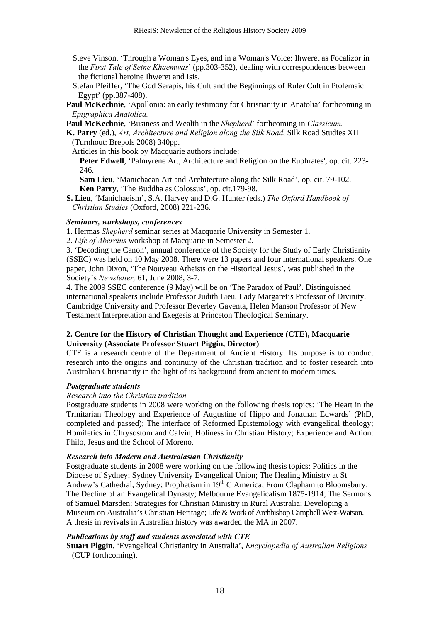- Steve Vinson, 'Through a Woman's Eyes, and in a Woman's Voice: Ihweret as Focalizor in the *First Tale of Setne Khaemwas*' (pp.303-352), dealing with correspondences between the fictional heroine Ihweret and Isis.
- Stefan Pfeiffer, 'The God Serapis, his Cult and the Beginnings of Ruler Cult in Ptolemaic Egypt' (pp.387-408).
- Paul McKechnie, 'Apollonia: an early testimony for Christianity in Anatolia' forthcoming in *Epigraphica Anatolica.*
- **Paul McKechnie**, 'Business and Wealth in the *Shepherd*' forthcoming in *Classicum.*

**K. Parry** (ed.), *Art, Architecture and Religion along the Silk Road*, Silk Road Studies XII (Turnhout: Brepols 2008) 340pp.

Articles in this book by Macquarie authors include:

**Peter Edwell**, 'Palmyrene Art, Architecture and Religion on the Euphrates', op. cit. 223- 246.

**Sam Lieu**, 'Manichaean Art and Architecture along the Silk Road', op. cit. 79-102. **Ken Parry**, 'The Buddha as Colossus', op. cit.179-98.

**S. Lieu**, 'Manichaeism', S.A. Harvey and D.G. Hunter (eds.) *The Oxford Handbook of Christian Studies* (Oxford, 2008) 221-236.

#### *Seminars, workshops, conferences*

1. Hermas *Shepherd* seminar series at Macquarie University in Semester 1.

2. *Life of Abercius* workshop at Macquarie in Semester 2.

3. 'Decoding the Canon', annual conference of the Society for the Study of Early Christianity (SSEC) was held on 10 May 2008. There were 13 papers and four international speakers. One paper, John Dixon, 'The Nouveau Atheists on the Historical Jesus', was published in the Society's *Newsletter,* 61, June 2008, 3-7.

4. The 2009 SSEC conference (9 May) will be on 'The Paradox of Paul'. Distinguished international speakers include Professor Judith Lieu, Lady Margaret's Professor of Divinity, Cambridge University and Professor Beverley Gaventa, Helen Manson Professor of New Testament Interpretation and Exegesis at Princeton Theological Seminary.

# **2. Centre for the History of Christian Thought and Experience (CTE), Macquarie University (Associate Professor Stuart Piggin, Director)**

CTE is a research centre of the Department of Ancient History. Its purpose is to conduct research into the origins and continuity of the Christian tradition and to foster research into Australian Christianity in the light of its background from ancient to modern times.

# *Postgraduate students*

#### *Research into the Christian tradition*

Postgraduate students in 2008 were working on the following thesis topics: 'The Heart in the Trinitarian Theology and Experience of Augustine of Hippo and Jonathan Edwards' (PhD, completed and passed); The interface of Reformed Epistemology with evangelical theology; Homiletics in Chrysostom and Calvin; Holiness in Christian History; Experience and Action: Philo, Jesus and the School of Moreno.

## *Research into Modern and Australasian Christianity*

Postgraduate students in 2008 were working on the following thesis topics: Politics in the Diocese of Sydney; Sydney University Evangelical Union; The Healing Ministry at St Andrew's Cathedral, Sydney; Prophetism in 19<sup>th</sup> C America; From Clapham to Bloomsbury: The Decline of an Evangelical Dynasty; Melbourne Evangelicalism 1875-1914; The Sermons of Samuel Marsden; Strategies for Christian Ministry in Rural Australia; Developing a Museum on Australia's Christian Heritage;Life & Work of Archbishop Campbell West-Watson. A thesis in revivals in Australian history was awarded the MA in 2007.

#### *Publications by staff and students associated with CTE*

**Stuart Piggin**, 'Evangelical Christianity in Australia', *Encyclopedia of Australian Religions*  (CUP forthcoming).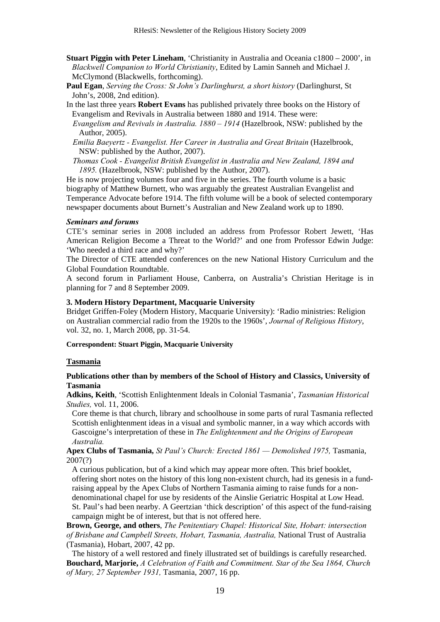- **Stuart Piggin with Peter Lineham**, 'Christianity in Australia and Oceania c1800 2000', in *Blackwell Companion to World Christianity*, Edited by Lamin Sanneh and Michael J. McClymond (Blackwells, forthcoming).
- **Paul Egan**, *Serving the Cross: St John's Darlinghurst, a short history* (Darlinghurst, St John's, 2008, 2nd edition).
- In the last three years **Robert Evans** has published privately three books on the History of Evangelism and Revivals in Australia between 1880 and 1914. These were: *Evangelism and Revivals in Australia. 1880 – 1914* (Hazelbrook, NSW: published by the Author, 2005).
	- *Emilia Baeyertz Evangelist. Her Career in Australia and Great Britain* (Hazelbrook, NSW: published by the Author, 2007).
	- *Thomas Cook Evangelist British Evangelist in Australia and New Zealand, 1894 and 1895.* (Hazelbrook, NSW: published by the Author, 2007).

He is now projecting volumes four and five in the series. The fourth volume is a basic biography of Matthew Burnett, who was arguably the greatest Australian Evangelist and Temperance Advocate before 1914. The fifth volume will be a book of selected contemporary newspaper documents about Burnett's Australian and New Zealand work up to 1890.

#### *Seminars and forums*

CTE's seminar series in 2008 included an address from Professor Robert Jewett, 'Has American Religion Become a Threat to the World?' and one from Professor Edwin Judge: 'Who needed a third race and why?'

The Director of CTE attended conferences on the new National History Curriculum and the Global Foundation Roundtable.

A second forum in Parliament House, Canberra, on Australia's Christian Heritage is in planning for 7 and 8 September 2009.

#### **3. Modern History Department, Macquarie University**

Bridget Griffen-Foley (Modern History, Macquarie University): 'Radio ministries: Religion on Australian commercial radio from the 1920s to the 1960s', *Journal of Religious History*, vol. 32, no. 1, March 2008, pp. 31-54.

#### **Correspondent: Stuart Piggin, Macquarie University**

#### **Tasmania**

## **Publications other than by members of the School of History and Classics, University of Tasmania**

**Adkins, Keith**, 'Scottish Enlightenment Ideals in Colonial Tasmania', *Tasmanian Historical Studies,* vol. 11, 2006.

Core theme is that church, library and schoolhouse in some parts of rural Tasmania reflected Scottish enlightenment ideas in a visual and symbolic manner, in a way which accords with Gascoigne's interpretation of these in *The Enlightenment and the Origins of European Australia.* 

#### **Apex Clubs of Tasmania***, St Paul's Church: Erected 1861 — Demolished 1975,* Tasmania, 2007(?)

A curious publication, but of a kind which may appear more often. This brief booklet, offering short notes on the history of this long non-existent church, had its genesis in a fundraising appeal by the Apex Clubs of Northern Tasmania aiming to raise funds for a nondenominational chapel for use by residents of the Ainslie Geriatric Hospital at Low Head. St. Paul's had been nearby. A Geertzian 'thick description' of this aspect of the fund-raising campaign might be of interest, but that is not offered here.

**Brown, George, and others**, *The Penitentiary Chapel: Historical Site, Hobart: intersection of Brisbane and Campbell Streets, Hobart, Tasmania, Australia,* National Trust of Australia (Tasmania), Hobart, 2007, 42 pp.

The history of a well restored and finely illustrated set of buildings is carefully researched. **Bouchard, Marjorie,** *A Celebration of Faith and Commitment. Star of the Sea 1864, Church of Mary, 27 September 1931,* Tasmania, 2007, 16 pp.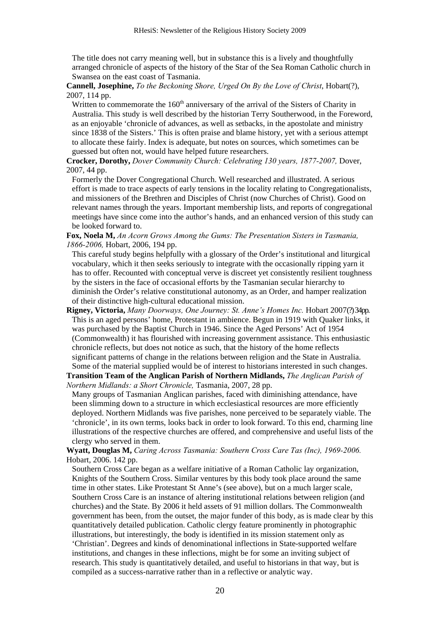The title does not carry meaning well, but in substance this is a lively and thoughtfully arranged chronicle of aspects of the history of the Star of the Sea Roman Catholic church in Swansea on the east coast of Tasmania.

**Cannell, Josephine,** *To the Beckoning Shore, Urged On By the Love of Christ*, Hobart(?), 2007, 114 pp.

Written to commemorate the  $160<sup>th</sup>$  anniversary of the arrival of the Sisters of Charity in Australia. This study is well described by the historian Terry Southerwood, in the Foreword, as an enjoyable 'chronicle of advances, as well as setbacks, in the apostolate and ministry since 1838 of the Sisters.' This is often praise and blame history, yet with a serious attempt to allocate these fairly. Index is adequate, but notes on sources, which sometimes can be guessed but often not, would have helped future researchers.

**Crocker, Dorothy,** *Dover Community Church: Celebrating 130 years, 1877-2007,* Dover, 2007, 44 pp.

Formerly the Dover Congregational Church. Well researched and illustrated. A serious effort is made to trace aspects of early tensions in the locality relating to Congregationalists, and missioners of the Brethren and Disciples of Christ (now Churches of Christ). Good on relevant names through the years. Important membership lists, and reports of congregational meetings have since come into the author's hands, and an enhanced version of this study can be looked forward to.

**Fox, Noela M,** *An Acorn Grows Among the Gums: The Presentation Sisters in Tasmania, 1866-2006,* Hobart, 2006, 194 pp.

This careful study begins helpfully with a glossary of the Order's institutional and liturgical vocabulary, which it then seeks seriously to integrate with the occasionally ripping yarn it has to offer. Recounted with conceptual verve is discreet yet consistently resilient toughness by the sisters in the face of occasional efforts by the Tasmanian secular hierarchy to diminish the Order's relative constitutional autonomy, as an Order, and hamper realization of their distinctive high-cultural educational mission.

**Rigney, Victoria,** *Many Doorways, One Journey: St. Anne's Homes Inc.* Hobart 2007(?) 34pp. This is an aged persons' home, Protestant in ambience. Begun in 1919 with Quaker links, it was purchased by the Baptist Church in 1946. Since the Aged Persons' Act of 1954 (Commonwealth) it has flourished with increasing government assistance. This enthusiastic chronicle reflects, but does not notice as such, that the history of the home reflects significant patterns of change in the relations between religion and the State in Australia. Some of the material supplied would be of interest to historians interested in such changes.

**Transition Team of the Anglican Parish of Northern Midlands,** *The Anglican Parish of Northern Midlands: a Short Chronicle,* Tasmania, 2007, 28 pp.

Many groups of Tasmanian Anglican parishes, faced with diminishing attendance, have been slimming down to a structure in which ecclesiastical resources are more efficiently deployed. Northern Midlands was five parishes, none perceived to be separately viable. The 'chronicle', in its own terms, looks back in order to look forward. To this end, charming line illustrations of the respective churches are offered, and comprehensive and useful lists of the clergy who served in them.

**Wyatt, Douglas M,** *Caring Across Tasmania: Southern Cross Care Tas (Inc), 1969-2006.* Hobart, 2006. 142 pp.

Southern Cross Care began as a welfare initiative of a Roman Catholic lay organization, Knights of the Southern Cross. Similar ventures by this body took place around the same time in other states. Like Protestant St Anne's (see above), but on a much larger scale, Southern Cross Care is an instance of altering institutional relations between religion (and churches) and the State. By 2006 it held assets of 91 million dollars. The Commonwealth government has been, from the outset, the major funder of this body, as is made clear by this quantitatively detailed publication. Catholic clergy feature prominently in photographic illustrations, but interestingly, the body is identified in its mission statement only as 'Christian'. Degrees and kinds of denominational inflections in State-supported welfare institutions, and changes in these inflections, might be for some an inviting subject of research. This study is quantitatively detailed, and useful to historians in that way, but is compiled as a success-narrative rather than in a reflective or analytic way.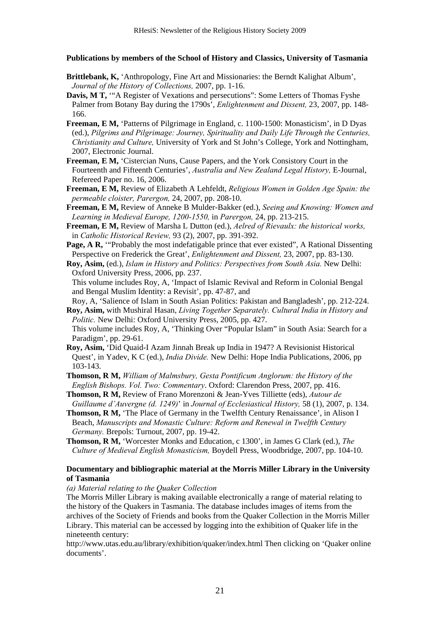**Publications by members of the School of History and Classics, University of Tasmania** 

- **Brittlebank, K,** 'Anthropology, Fine Art and Missionaries: the Berndt Kalighat Album', *Journal of the History of Collections,* 2007, pp. 1-16.
- **Davis, M T,** '"A Register of Vexations and persecutions": Some Letters of Thomas Fyshe Palmer from Botany Bay during the 1790s', *Enlightenment and Dissent,* 23, 2007, pp. 148- 166.
- **Freeman, E M,** 'Patterns of Pilgrimage in England, c. 1100-1500: Monasticism', in D Dyas (ed.), *Pilgrims and Pilgrimage: Journey, Spirituality and Daily Life Through the Centuries, Christianity and Culture,* University of York and St John's College, York and Nottingham, 2007, Electronic Journal.
- **Freeman, E M,** 'Cistercian Nuns, Cause Papers, and the York Consistory Court in the Fourteenth and Fifteenth Centuries', *Australia and New Zealand Legal History,* E-Journal, Refereed Paper no. 16, 2006.
- **Freeman, E M,** Review of Elizabeth A Lehfeldt, *Religious Women in Golden Age Spain: the permeable cloister, Parergon,* 24, 2007, pp. 208-10.
- **Freeman, E M,** Review of Anneke B Mulder-Bakker (ed.), *Seeing and Knowing: Women and Learning in Medieval Europe, 1200-1550,* in *Parergon,* 24, pp. 213-215.
- **Freeman, E M,** Review of Marsha L Dutton (ed.), *Aelred of Rievaulx: the historical works,*  in *Catholic Historical Review,* 93 (2), 2007, pp. 391-392.
- **Page, A R,** "Probably the most indefatigable prince that ever existed", A Rational Dissenting Perspective on Frederick the Great', *Enlightenment and Dissent,* 23, 2007, pp. 83-130.
- **Roy, Asim,** (ed.), *Islam in History and Politics: Perspectives from South Asia.* New Delhi: Oxford University Press, 2006, pp. 237.

This volume includes Roy, A, 'Impact of Islamic Revival and Reform in Colonial Bengal and Bengal Muslim Identity: a Revisit', pp. 47-87, and

Roy, A, 'Salience of Islam in South Asian Politics: Pakistan and Bangladesh', pp. 212-224. **Roy, Asim,** with Mushiral Hasan, *Living Together Separately. Cultural India in History and* 

*Politic.* New Delhi: Oxford University Press, 2005, pp. 427.

This volume includes Roy, A, 'Thinking Over "Popular Islam" in South Asia: Search for a Paradigm', pp. 29-61.

- **Roy, Asim,** 'Did Quaid-I Azam Jinnah Break up India in 1947? A Revisionist Historical Quest', in Yadev, K C (ed.), *India Divide.* New Delhi: Hope India Publications, 2006, pp 103-143.
- **Thomson, R M,** *William of Malmsbury, Gesta Pontificum Anglorum: the History of the English Bishops. Vol. Two: Commentary*. Oxford: Clarendon Press, 2007, pp. 416.
- **Thomson, R M,** Review of Frano Morenzoni & Jean-Yves Tilliette (eds), *Autour de Guillaume d'Auvergne (d. 1249)*' in *Journal of Ecclesiastical History,* 58 (1), 2007, p. 134.
- **Thomson, R M,** 'The Place of Germany in the Twelfth Century Renaissance', in Alison I Beach, *Manuscripts and Monastic Culture: Reform and Renewal in Twelfth Century Germany.* Brepols: Turnout, 2007, pp. 19-42.
- **Thomson, R M,** 'Worcester Monks and Education, c 1300', in James G Clark (ed.), *The Culture of Medieval English Monasticism,* Boydell Press, Woodbridge, 2007, pp. 104-10.

## **Documentary and bibliographic material at the Morris Miller Library in the University of Tasmania**

#### *(a) Material relating to the Quaker Collection*

The Morris Miller Library is making available electronically a range of material relating to the history of the Quakers in Tasmania. The database includes images of items from the archives of the Society of Friends and books from the Quaker Collection in the Morris Miller Library. This material can be accessed by logging into the exhibition of Quaker life in the nineteenth century:

http://www.utas.edu.au/library/exhibition/quaker/index.html Then clicking on 'Quaker online documents'.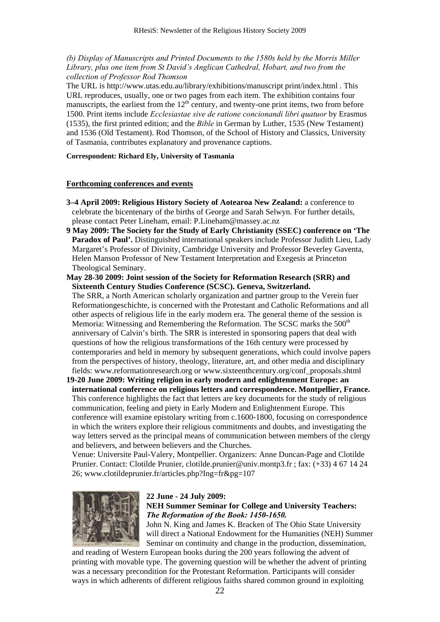*(b) Display of Manuscripts and Printed Documents to the 1580s held by the Morris Miller Library, plus one item from St David's Anglican Cathedral, Hobart, and two from the collection of Professor Rod Thomson* 

The URL is http://www.utas.edu.au/library/exhibitions/manuscript print/index.html . This URL reproduces, usually, one or two pages from each item. The exhibition contains four manuscripts, the earliest from the  $12<sup>th</sup>$  century, and twenty-one print items, two from before 1500. Print items include *Ecclesiastae sive de ratione concionandi libri quatuor* by Erasmus (1535), the first printed edition; and the *Bible* in German by Luther, 1535 (New Testament) and 1536 (Old Testament). Rod Thomson, of the School of History and Classics, University of Tasmania, contributes explanatory and provenance captions.

## **Correspondent: Richard Ely, University of Tasmania**

#### **Forthcoming conferences and events**

- **3–4 April 2009: Religious History Society of Aotearoa New Zealand:** a conference to celebrate the bicentenary of the births of George and Sarah Selwyn. For further details, please contact Peter Lineham, email: P.Lineham@massey.ac.nz
- **9 May 2009: The Society for the Study of Early Christianity (SSEC) conference on 'The Paradox of Paul'.** Distinguished international speakers include Professor Judith Lieu, Lady Margaret's Professor of Divinity, Cambridge University and Professor Beverley Gaventa, Helen Manson Professor of New Testament Interpretation and Exegesis at Princeton Theological Seminary.
- **May 28-30 2009: Joint session of the Society for Reformation Research (SRR) and Sixteenth Century Studies Conference (SCSC). Geneva, Switzerland.**

The SRR, a North American scholarly organization and partner group to the Verein fuer Reformationgeschichte, is concerned with the Protestant and Catholic Reformations and all other aspects of religious life in the early modern era. The general theme of the session is Memoria: Witnessing and Remembering the Reformation. The SCSC marks the 500<sup>th</sup> anniversary of Calvin's birth. The SRR is interested in sponsoring papers that deal with questions of how the religious transformations of the 16th century were processed by contemporaries and held in memory by subsequent generations, which could involve papers from the perspectives of history, theology, literature, art, and other media and disciplinary fields: www.reformationresearch.org or www.sixteenthcentury.org/conf\_proposals.shtml

**19-20 June 2009: Writing religion in early modern and enlightenment Europe: an international conference on religious letters and correspondence. Montpellier, France.**  This conference highlights the fact that letters are key documents for the study of religious communication, feeling and piety in Early Modern and Enlightenment Europe. This conference will examine epistolary writing from c.1600-1800, focusing on correspondence in which the writers explore their religious commitments and doubts, and investigating the way letters served as the principal means of communication between members of the clergy and believers, and between believers and the Churches.

Venue: Universite Paul-Valery, Montpellier. Organizers: Anne Duncan-Page and Clotilde Prunier. Contact: Clotilde Prunier, clotilde.prunier@univ.montp3.fr ; fax: (+33) 4 67 14 24 26; www.clotildeprunier.fr/articles.php?Ing=fr&pg=107



## **22 June - 24 July 2009:**

**NEH Summer Seminar for College and University Teachers:** *The Reformation of the Book: 1450-1650.* 

John N. King and James K. Bracken of The Ohio State University will direct a National Endowment for the Humanities (NEH) Summer Seminar on continuity and change in the production, dissemination,

and reading of Western European books during the 200 years following the advent of printing with movable type. The governing question will be whether the advent of printing was a necessary precondition for the Protestant Reformation. Participants will consider ways in which adherents of different religious faiths shared common ground in exploiting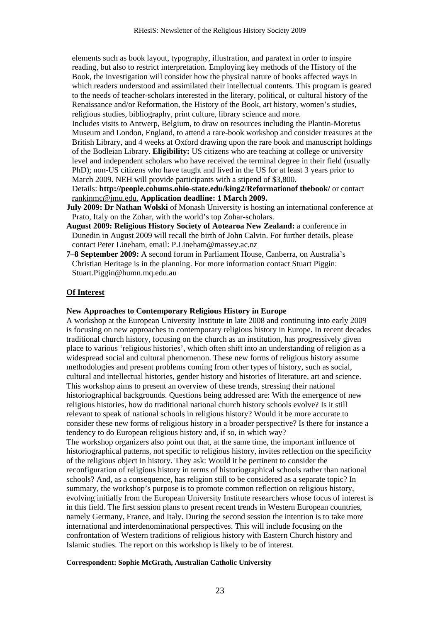elements such as book layout, typography, illustration, and paratext in order to inspire reading, but also to restrict interpretation. Employing key methods of the History of the Book, the investigation will consider how the physical nature of books affected ways in which readers understood and assimilated their intellectual contents. This program is geared to the needs of teacher-scholars interested in the literary, political, or cultural history of the Renaissance and/or Reformation, the History of the Book, art history, women's studies, religious studies, bibliography, print culture, library science and more.

Includes visits to Antwerp, Belgium, to draw on resources including the Plantin-Moretus Museum and London, England, to attend a rare-book workshop and consider treasures at the British Library, and 4 weeks at Oxford drawing upon the rare book and manuscript holdings of the Bodleian Library. **Eligibility:** US citizens who are teaching at college or university level and independent scholars who have received the terminal degree in their field (usually PhD); non-US citizens who have taught and lived in the US for at least 3 years prior to March 2009. NEH will provide participants with a stipend of \$3,800.

Details: **http://people.cohums.ohio-state.edu/king2/Reformationof thebook/** or contact rankinmc@jmu.edu. **Application deadline: 1 March 2009.** 

- **July 2009: Dr Nathan Wolski** of Monash University is hosting an international conference at Prato, Italy on the Zohar, with the world's top Zohar-scholars.
- **August 2009: Religious History Society of Aotearoa New Zealand:** a conference in Dunedin in August 2009 will recall the birth of John Calvin. For further details, please contact Peter Lineham, email: P.Lineham@massey.ac.nz
- **7–8 September 2009:** A second forum in Parliament House, Canberra, on Australia's Christian Heritage is in the planning. For more information contact Stuart Piggin: Stuart.Piggin@humn.mq.edu.au

#### **Of Interest**

## **New Approaches to Contemporary Religious History in Europe**

A workshop at the European University Institute in late 2008 and continuing into early 2009 is focusing on new approaches to contemporary religious history in Europe. In recent decades traditional church history, focusing on the church as an institution, has progressively given place to various 'religious histories', which often shift into an understanding of religion as a widespread social and cultural phenomenon. These new forms of religious history assume methodologies and present problems coming from other types of history, such as social, cultural and intellectual histories, gender history and histories of literature, art and science. This workshop aims to present an overview of these trends, stressing their national historiographical backgrounds. Questions being addressed are: With the emergence of new religious histories, how do traditional national church history schools evolve? Is it still relevant to speak of national schools in religious history? Would it be more accurate to consider these new forms of religious history in a broader perspective? Is there for instance a tendency to do European religious history and, if so, in which way?

The workshop organizers also point out that, at the same time, the important influence of historiographical patterns, not specific to religious history, invites reflection on the specificity of the religious object in history. They ask: Would it be pertinent to consider the reconfiguration of religious history in terms of historiographical schools rather than national schools? And, as a consequence, has religion still to be considered as a separate topic? In summary, the workshop's purpose is to promote common reflection on religious history, evolving initially from the European University Institute researchers whose focus of interest is in this field. The first session plans to present recent trends in Western European countries, namely Germany, France, and Italy. During the second session the intention is to take more international and interdenominational perspectives. This will include focusing on the confrontation of Western traditions of religious history with Eastern Church history and Islamic studies. The report on this workshop is likely to be of interest.

#### **Correspondent: Sophie McGrath, Australian Catholic University**